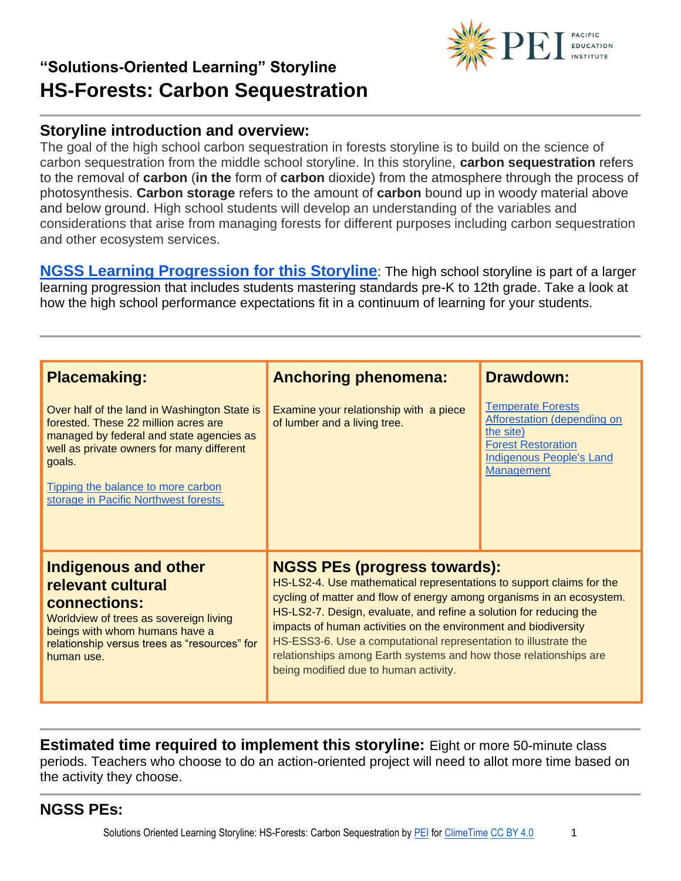

The goal of the high school carbon sequestration in forests storyline is to build on the science of carbon sequestration from the middle school storyline. In this storyline, **carbon sequestration** refers to the removal of **carbon** (**in the** form of **carbon** dioxide) from the atmosphere through the process of photosynthesis. **Carbon storage** refers to the amount of **carbon** bound up in woody material above and below ground. High school students will develop an understanding of the variables and considerations that arise from managing forests for different purposes including carbon sequestration and other ecosystem services.

**[NGSS Learning Progression for this Storyline](https://pacificeductioninstitute.sharepoint.com/:x:/s/Program/EYI7Fd4NTkBNncWNqRLJh6YBfX9Vw1py_cLvIPW5H66BXw?e=bCkMKh)**: The high school storyline is part of a larger learning progression that includes students mastering standards pre-K to 12th grade. Take a look at how the high school performance expectations fit in a continuum of learning for your students.

| <b>Placemaking:</b>                                                                                                                                                                                                                                                    | <b>Anchoring phenomena:</b>                                                                                                                                                                                                                                                                                                                                                                                                                                                                                    | <b>Drawdown:</b>                                                                                                                                                 |
|------------------------------------------------------------------------------------------------------------------------------------------------------------------------------------------------------------------------------------------------------------------------|----------------------------------------------------------------------------------------------------------------------------------------------------------------------------------------------------------------------------------------------------------------------------------------------------------------------------------------------------------------------------------------------------------------------------------------------------------------------------------------------------------------|------------------------------------------------------------------------------------------------------------------------------------------------------------------|
| Over half of the land in Washington State is<br>forested. These 22 million acres are<br>managed by federal and state agencies as<br>well as private owners for many different<br>goals.<br>Tipping the balance to more carbon<br>storage in Pacific Northwest forests. | Examine your relationship with a piece<br>of lumber and a living tree.                                                                                                                                                                                                                                                                                                                                                                                                                                         | <b>Temperate Forests</b><br><b>Afforestation (depending on</b><br>the site)<br><b>Forest Restoration</b><br><b>Indigenous People's Land</b><br><b>Management</b> |
| <b>Indigenous and other</b><br>relevant cultural<br>connections:<br>Worldview of trees as sovereign living<br>beings with whom humans have a<br>relationship versus trees as "resources" for<br>human use.                                                             | <b>NGSS PEs (progress towards):</b><br>HS-LS2-4. Use mathematical representations to support claims for the<br>cycling of matter and flow of energy among organisms in an ecosystem.<br>HS-LS2-7. Design, evaluate, and refine a solution for reducing the<br>impacts of human activities on the environment and biodiversity<br>HS-ESS3-6. Use a computational representation to illustrate the<br>relationships among Earth systems and how those relationships are<br>being modified due to human activity. |                                                                                                                                                                  |

**Estimated time required to implement this storyline:** Eight or more 50-minute class periods. Teachers who choose to do an action-oriented project will need to allot more time based on the activity they choose.

**NGSS PEs:**

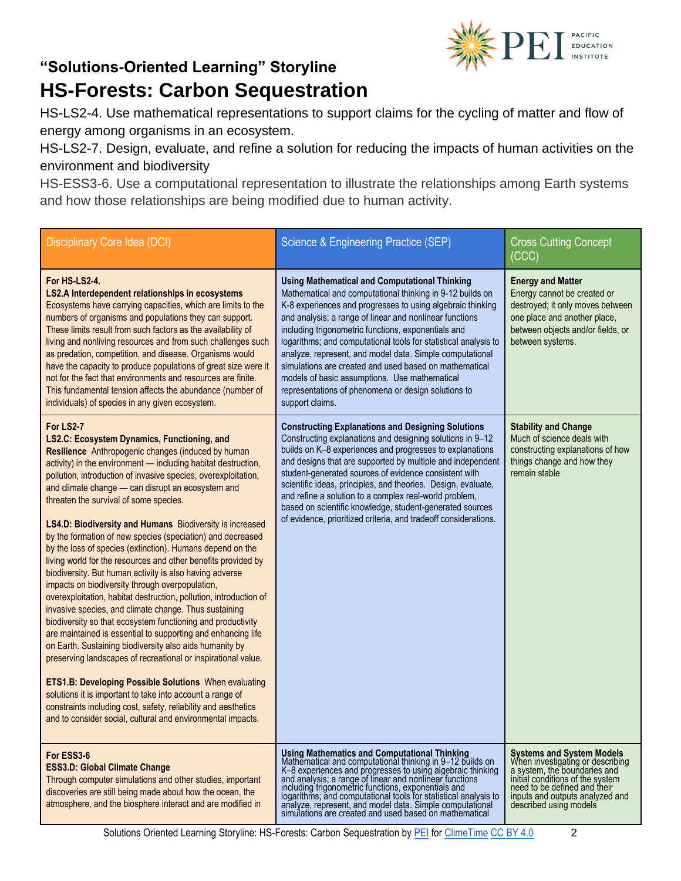

HS-LS2-4. Use mathematical representations to support claims for the cycling of matter and flow of energy among organisms in an ecosystem.

HS-LS2-7. Design, evaluate, and refine a solution for reducing the impacts of human activities on the environment and biodiversity

HS-ESS3-6. Use a computational representation to illustrate the relationships among Earth systems and how those relationships are being modified due to human activity.

| Disciplinary Core Idea (DCI)                                                                                                                                                                                                                                                                                                                                                                                                                                                                                                                                                                                                                                                                                                                                                                                                                                                                                                                                                                                                                                                                                                                                                                                                                                                                                                                                                  | Science & Engineering Practice (SEP)                                                                                                                                                                                                                                                                                                                                                                                                                                                                                                                                                                                  | <b>Cross Cutting Concept</b><br>(CCC)                                                                                                                                                                                                 |
|-------------------------------------------------------------------------------------------------------------------------------------------------------------------------------------------------------------------------------------------------------------------------------------------------------------------------------------------------------------------------------------------------------------------------------------------------------------------------------------------------------------------------------------------------------------------------------------------------------------------------------------------------------------------------------------------------------------------------------------------------------------------------------------------------------------------------------------------------------------------------------------------------------------------------------------------------------------------------------------------------------------------------------------------------------------------------------------------------------------------------------------------------------------------------------------------------------------------------------------------------------------------------------------------------------------------------------------------------------------------------------|-----------------------------------------------------------------------------------------------------------------------------------------------------------------------------------------------------------------------------------------------------------------------------------------------------------------------------------------------------------------------------------------------------------------------------------------------------------------------------------------------------------------------------------------------------------------------------------------------------------------------|---------------------------------------------------------------------------------------------------------------------------------------------------------------------------------------------------------------------------------------|
| For HS-LS2-4.<br>LS2.A Interdependent relationships in ecosystems<br>Ecosystems have carrying capacities, which are limits to the<br>numbers of organisms and populations they can support.<br>These limits result from such factors as the availability of<br>living and nonliving resources and from such challenges such<br>as predation, competition, and disease. Organisms would<br>have the capacity to produce populations of great size were it<br>not for the fact that environments and resources are finite.<br>This fundamental tension affects the abundance (number of<br>individuals) of species in any given ecosystem.                                                                                                                                                                                                                                                                                                                                                                                                                                                                                                                                                                                                                                                                                                                                      | <b>Using Mathematical and Computational Thinking</b><br>Mathematical and computational thinking in 9-12 builds on<br>K-8 experiences and progresses to using algebraic thinking<br>and analysis; a range of linear and nonlinear functions<br>including trigonometric functions, exponentials and<br>logarithms; and computational tools for statistical analysis to<br>analyze, represent, and model data. Simple computational<br>simulations are created and used based on mathematical<br>models of basic assumptions. Use mathematical<br>representations of phenomena or design solutions to<br>support claims. | <b>Energy and Matter</b><br>Energy cannot be created or<br>destroyed; it only moves between<br>one place and another place,<br>between objects and/or fields, or<br>between systems.                                                  |
| For LS2-7<br>LS2.C: Ecosystem Dynamics, Functioning, and<br>Resilience Anthropogenic changes (induced by human<br>activity) in the environment - including habitat destruction,<br>pollution, introduction of invasive species, overexploitation,<br>and climate change - can disrupt an ecosystem and<br>threaten the survival of some species.<br>LS4.D: Biodiversity and Humans Biodiversity is increased<br>by the formation of new species (speciation) and decreased<br>by the loss of species (extinction). Humans depend on the<br>living world for the resources and other benefits provided by<br>biodiversity. But human activity is also having adverse<br>impacts on biodiversity through overpopulation,<br>overexploitation, habitat destruction, pollution, introduction of<br>invasive species, and climate change. Thus sustaining<br>biodiversity so that ecosystem functioning and productivity<br>are maintained is essential to supporting and enhancing life<br>on Earth. Sustaining biodiversity also aids humanity by<br>preserving landscapes of recreational or inspirational value.<br><b>ETS1.B: Developing Possible Solutions</b> When evaluating<br>solutions it is important to take into account a range of<br>constraints including cost, safety, reliability and aesthetics<br>and to consider social, cultural and environmental impacts. | <b>Constructing Explanations and Designing Solutions</b><br>Constructing explanations and designing solutions in 9-12<br>builds on K-8 experiences and progresses to explanations<br>and designs that are supported by multiple and independent<br>student-generated sources of evidence consistent with<br>scientific ideas, principles, and theories. Design, evaluate,<br>and refine a solution to a complex real-world problem,<br>based on scientific knowledge, student-generated sources<br>of evidence, prioritized criteria, and tradeoff considerations.                                                    | <b>Stability and Change</b><br>Much of science deals with<br>constructing explanations of how<br>things change and how they<br>remain stable                                                                                          |
| For ESS3-6<br><b>ESS3.D: Global Climate Change</b><br>Through computer simulations and other studies, important<br>discoveries are still being made about how the ocean, the<br>atmosphere, and the biosphere interact and are modified in                                                                                                                                                                                                                                                                                                                                                                                                                                                                                                                                                                                                                                                                                                                                                                                                                                                                                                                                                                                                                                                                                                                                    | Using Mathematics and Computational Thinking<br>Mathematical and computational thinking in 9-12 builds on<br>K-8 experiences and progresses to using algebraic thinking<br>and analysis; a range of linear and nonlinear functions<br>including trigonometric functions, exponentials and<br>logarithms; and computational tools for statistical analysis to<br>analyze, represent, and model data. Simple computational<br>simulations are created and used based on mathematical                                                                                                                                    | <b>Systems and System Models</b><br>When investigating or describing<br>a system, the boundaries and<br>initial conditions of the system<br>need to be defined and their<br>inputs and outputs analyzed and<br>described using models |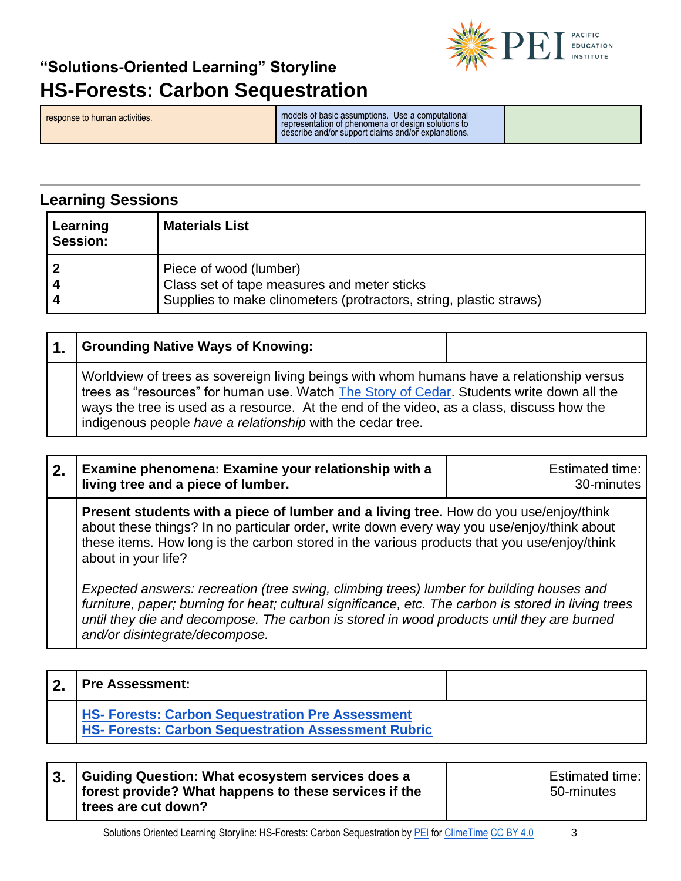

response to human activities. models of basic assumptions. Use a computational representation of phenomena or design solutions to describe and/or support claims and/or explanations.

**Learning Sessions**

| Learning<br><b>Session:</b> | <b>Materials List</b>                                                                                                                       |
|-----------------------------|---------------------------------------------------------------------------------------------------------------------------------------------|
|                             | Piece of wood (lumber)<br>Class set of tape measures and meter sticks<br>Supplies to make clinometers (protractors, string, plastic straws) |

| $\mathbf 1$ . | <b>Grounding Native Ways of Knowing:</b>                                                                                                                                                                                                                                                                                                          |  |
|---------------|---------------------------------------------------------------------------------------------------------------------------------------------------------------------------------------------------------------------------------------------------------------------------------------------------------------------------------------------------|--|
|               | Worldview of trees as sovereign living beings with whom humans have a relationship versus<br>trees as "resources" for human use. Watch The Story of Cedar. Students write down all the<br>ways the tree is used as a resource. At the end of the video, as a class, discuss how the<br>indigenous people have a relationship with the cedar tree. |  |

**Present students with a piece of lumber and a living tree.** How do you use/enjoy/think about these things? In no particular order, write down every way you use/enjoy/think about these items. How long is the carbon stored in the various products that you use/enjoy/think about in your life?

*Expected answers: recreation (tree swing, climbing trees) lumber for building houses and furniture, paper; burning for heat; cultural significance, etc. The carbon is stored in living trees until they die and decompose. The carbon is stored in wood products until they are burned and/or disintegrate/decompose.*

| <b>Pre Assessment:</b>                                                                                                |  |
|-----------------------------------------------------------------------------------------------------------------------|--|
| <b>HS- Forests: Carbon Sequestration Pre Assessment</b><br><b>HS- Forests: Carbon Sequestration Assessment Rubric</b> |  |

| Guiding Question: What ecosystem services does a      |  |
|-------------------------------------------------------|--|
| forest provide? What happens to these services if the |  |
| trees are cut down?                                   |  |

Estimated time: 50-minutes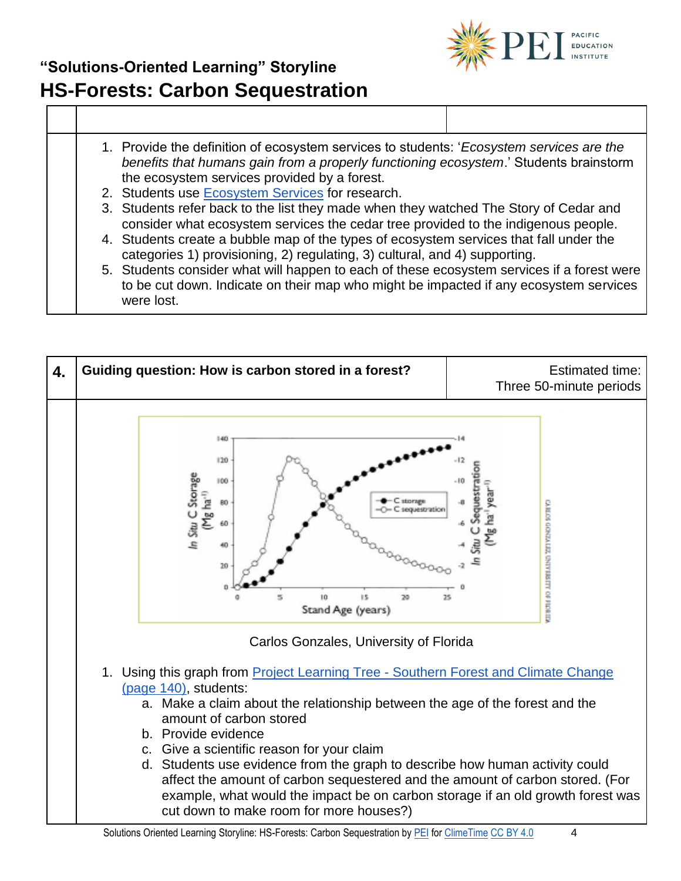

- 1. Provide the definition of ecosystem services to students: '*Ecosystem services are the benefits that humans gain from a properly functioning ecosystem*.' Students brainstorm the ecosystem services provided by a forest.
- 2. Students use [Ecosystem Services](https://www.fs.fed.us/ecosystemservices/About_ES/index.shtml) for research.
- 3. Students refer back to the list they made when they watched The Story of Cedar and consider what ecosystem services the cedar tree provided to the indigenous people.
- 4. Students create a bubble map of the types of ecosystem services that fall under the categories 1) provisioning, 2) regulating, 3) cultural, and 4) supporting.
- 5. Students consider what will happen to each of these ecosystem services if a forest were to be cut down. Indicate on their map who might be impacted if any ecosystem services were lost.

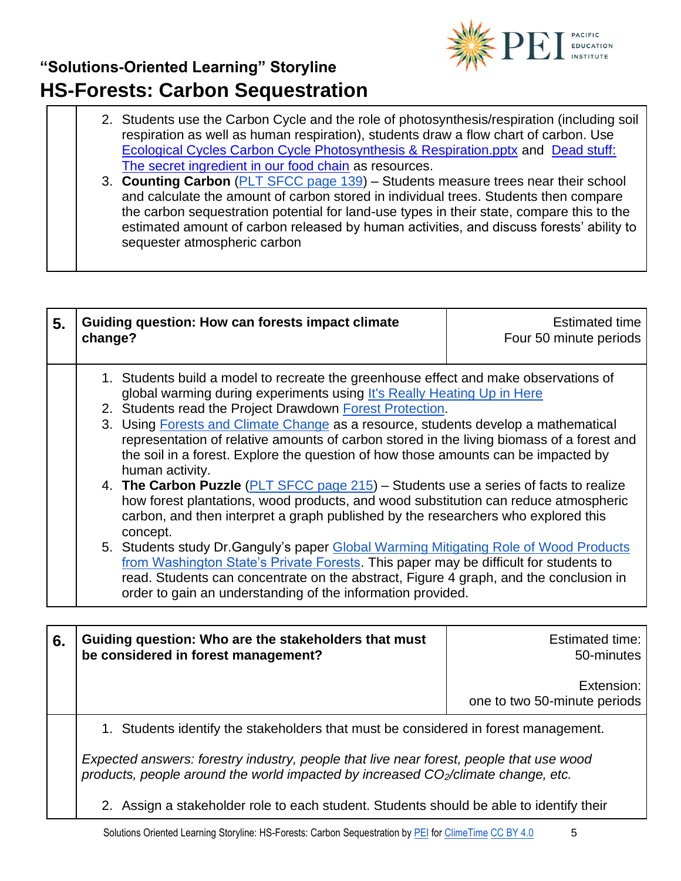

- 2. Students use the Carbon Cycle and the role of photosynthesis/respiration (including soil respiration as well as human respiration), students draw a flow chart of carbon. Use [Ecological Cycles Carbon Cycle Photosynthesis & Respiration.pptx](https://www.reacchpna.org/sites/default/files/Unit%205%20Ecological%20Cycles%20Carbon%20Cycle%20Photosynthesis%20%26%20Respiration.pptx) and [Dead stuff:](https://www.youtube.com/watch?v=KI7u_pcfAQE)  [The secret ingredient in our food chain](https://www.youtube.com/watch?v=KI7u_pcfAQE) as resources.
- 3. **Counting Carbon** [\(PLT SFCC page 139\)](https://drive.google.com/open?id=0B7PBNb3wlZr8bjBsU05DbmE4WW9KRlVPNk53bU0wWDdsQmZv) Students measure trees near their school and calculate the amount of carbon stored in individual trees. Students then compare the carbon sequestration potential for land-use types in their state, compare this to the estimated amount of carbon released by human activities, and discuss forests' ability to sequester atmospheric carbon

| 5. | <b>Guiding question: How can forests impact climate</b><br>change?                                                                                                                                                                                                                                                                                                                                                                                                                                                                                                                                                                                                                                                                                                                                                                                                                                                                                                                                                                                                                                                                              | <b>Estimated time</b><br>Four 50 minute periods |
|----|-------------------------------------------------------------------------------------------------------------------------------------------------------------------------------------------------------------------------------------------------------------------------------------------------------------------------------------------------------------------------------------------------------------------------------------------------------------------------------------------------------------------------------------------------------------------------------------------------------------------------------------------------------------------------------------------------------------------------------------------------------------------------------------------------------------------------------------------------------------------------------------------------------------------------------------------------------------------------------------------------------------------------------------------------------------------------------------------------------------------------------------------------|-------------------------------------------------|
|    | 1. Students build a model to recreate the greenhouse effect and make observations of<br>global warming during experiments using It's Really Heating Up in Here<br>2. Students read the Project Drawdown Forest Protection.<br>3. Using Forests and Climate Change as a resource, students develop a mathematical<br>representation of relative amounts of carbon stored in the living biomass of a forest and<br>the soil in a forest. Explore the question of how those amounts can be impacted by<br>human activity.<br>4. The Carbon Puzzle (PLT SFCC page 215) – Students use a series of facts to realize<br>how forest plantations, wood products, and wood substitution can reduce atmospheric<br>carbon, and then interpret a graph published by the researchers who explored this<br>concept.<br>5. Students study Dr. Ganguly's paper Global Warming Mitigating Role of Wood Products<br>from Washington State's Private Forests. This paper may be difficult for students to<br>read. Students can concentrate on the abstract, Figure 4 graph, and the conclusion in<br>order to gain an understanding of the information provided. |                                                 |
|    |                                                                                                                                                                                                                                                                                                                                                                                                                                                                                                                                                                                                                                                                                                                                                                                                                                                                                                                                                                                                                                                                                                                                                 |                                                 |
|    | Cuiding question: Who are the stakeholders that must                                                                                                                                                                                                                                                                                                                                                                                                                                                                                                                                                                                                                                                                                                                                                                                                                                                                                                                                                                                                                                                                                            | E <sub>ofim</sub> otod <sub>lim</sub>           |

| 6. | Guiding question: Who are the stakeholders that must<br>be considered in forest management?                                                                                   | Estimated time:  <br>50-minutes              |
|----|-------------------------------------------------------------------------------------------------------------------------------------------------------------------------------|----------------------------------------------|
|    |                                                                                                                                                                               | Extension:  <br>one to two 50-minute periods |
|    | 1. Students identify the stakeholders that must be considered in forest management.                                                                                           |                                              |
|    | Expected answers: forestry industry, people that live near forest, people that use wood<br>products, people around the world impacted by increased $CO2/climate change, etc.$ |                                              |

2. Assign a stakeholder role to each student. Students should be able to identify their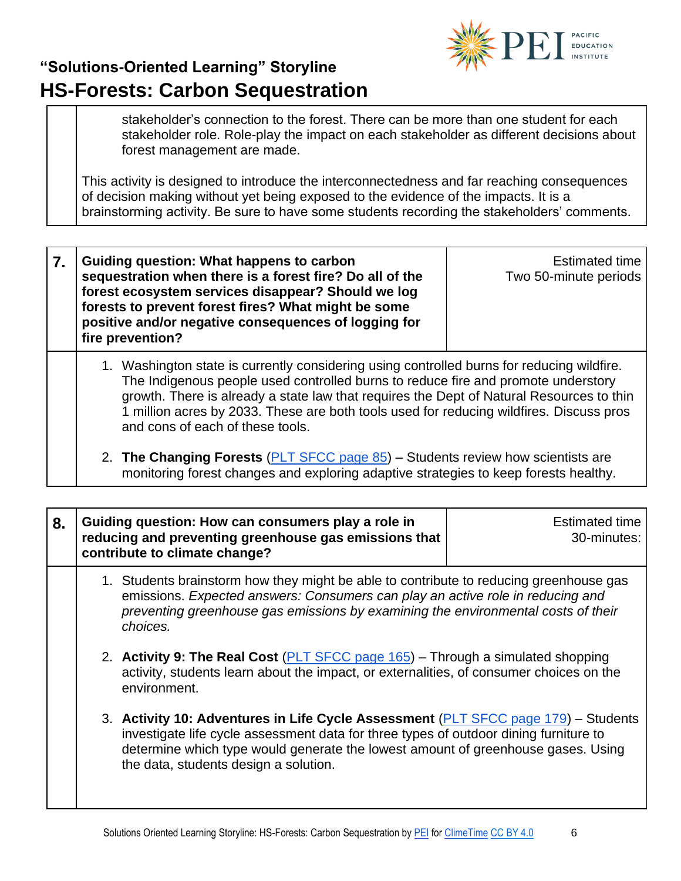

stakeholder's connection to the forest. There can be more than one student for each stakeholder role. Role-play the impact on each stakeholder as different decisions about forest management are made.

This activity is designed to introduce the interconnectedness and far reaching consequences of decision making without yet being exposed to the evidence of the impacts. It is a brainstorming activity. Be sure to have some students recording the stakeholders' comments.

**7. Guiding question: What happens to carbon sequestration when there is a forest fire? Do all of the forest ecosystem services disappear? Should we log forests to prevent forest fires? What might be some positive and/or negative consequences of logging for fire prevention?**

Estimated time Two 50-minute periods

- 1. Washington state is currently considering using controlled burns for reducing wildfire. The Indigenous people used controlled burns to reduce fire and promote understory growth. There is already a state law that requires the Dept of Natural Resources to thin 1 million acres by 2033. These are both tools used for reducing wildfires. Discuss pros and cons of each of these tools.
- 2. **The Changing Forests** [\(PLT SFCC page 85\)](https://drive.google.com/open?id=0B7PBNb3wlZr8bjBsU05DbmE4WW9KRlVPNk53bU0wWDdsQmZv) Students review how scientists are monitoring forest changes and exploring adaptive strategies to keep forests healthy.

| 8. | Guiding question: How can consumers play a role in<br>reducing and preventing greenhouse gas emissions that<br>contribute to climate change?                                                                                                                                                             | <b>Estimated time</b><br>30-minutes: |
|----|----------------------------------------------------------------------------------------------------------------------------------------------------------------------------------------------------------------------------------------------------------------------------------------------------------|--------------------------------------|
|    | 1. Students brainstorm how they might be able to contribute to reducing greenhouse gas<br>emissions. Expected answers: Consumers can play an active role in reducing and<br>preventing greenhouse gas emissions by examining the environmental costs of their<br>choices.                                |                                      |
|    | 2. Activity 9: The Real Cost (PLT SFCC page 165) – Through a simulated shopping<br>activity, students learn about the impact, or externalities, of consumer choices on the<br>environment.                                                                                                               |                                      |
|    | 3. Activity 10: Adventures in Life Cycle Assessment (PLT SFCC page 179) – Students<br>investigate life cycle assessment data for three types of outdoor dining furniture to<br>determine which type would generate the lowest amount of greenhouse gases. Using<br>the data, students design a solution. |                                      |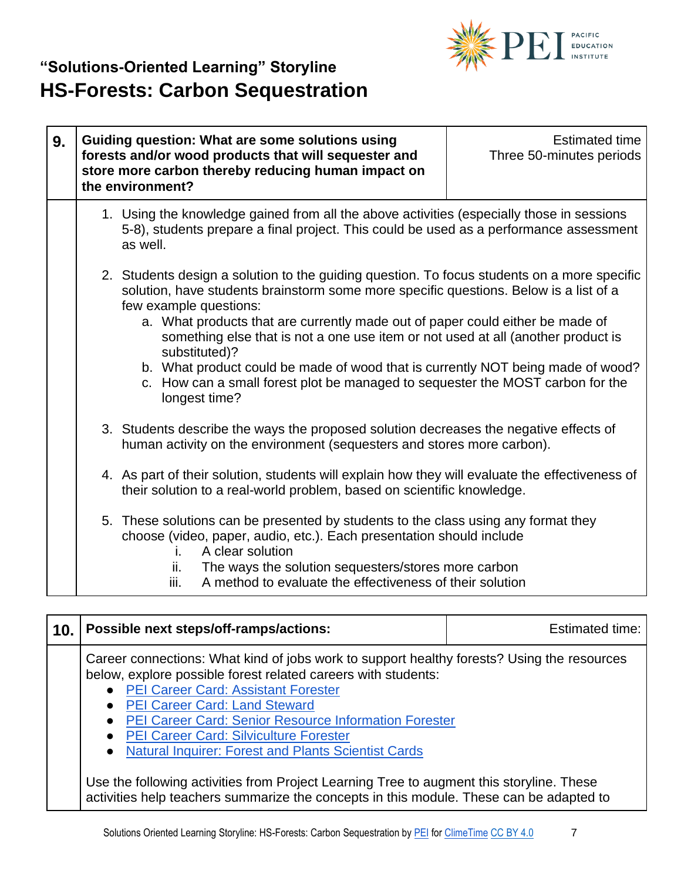

| 9. | Guiding question: What are some solutions using<br>forests and/or wood products that will sequester and<br>store more carbon thereby reducing human impact on<br>the environment?                                                                                                                                                                                                                                                                                                                                                                                                          | Estimated time<br>Three 50-minutes periods |
|----|--------------------------------------------------------------------------------------------------------------------------------------------------------------------------------------------------------------------------------------------------------------------------------------------------------------------------------------------------------------------------------------------------------------------------------------------------------------------------------------------------------------------------------------------------------------------------------------------|--------------------------------------------|
|    | 1. Using the knowledge gained from all the above activities (especially those in sessions<br>5-8), students prepare a final project. This could be used as a performance assessment<br>as well.                                                                                                                                                                                                                                                                                                                                                                                            |                                            |
|    | 2. Students design a solution to the guiding question. To focus students on a more specific<br>solution, have students brainstorm some more specific questions. Below is a list of a<br>few example questions:<br>a. What products that are currently made out of paper could either be made of<br>something else that is not a one use item or not used at all (another product is<br>substituted)?<br>b. What product could be made of wood that is currently NOT being made of wood?<br>c. How can a small forest plot be managed to sequester the MOST carbon for the<br>longest time? |                                            |
|    | 3. Students describe the ways the proposed solution decreases the negative effects of<br>human activity on the environment (sequesters and stores more carbon).                                                                                                                                                                                                                                                                                                                                                                                                                            |                                            |
|    | 4. As part of their solution, students will explain how they will evaluate the effectiveness of<br>their solution to a real-world problem, based on scientific knowledge.                                                                                                                                                                                                                                                                                                                                                                                                                  |                                            |
|    | 5. These solutions can be presented by students to the class using any format they<br>choose (video, paper, audio, etc.). Each presentation should include<br>A clear solution<br>L.<br>The ways the solution sequesters/stores more carbon<br>ii.<br>A method to evaluate the effectiveness of their solution<br>iii.                                                                                                                                                                                                                                                                     |                                            |

| 10. | Possible next steps/off-ramps/actions:                                                                                                                                                                                                                                                                                                                                                                                                                                                                                                                                                                                | Estimated time: |
|-----|-----------------------------------------------------------------------------------------------------------------------------------------------------------------------------------------------------------------------------------------------------------------------------------------------------------------------------------------------------------------------------------------------------------------------------------------------------------------------------------------------------------------------------------------------------------------------------------------------------------------------|-----------------|
|     | Career connections: What kind of jobs work to support healthy forests? Using the resources<br>below, explore possible forest related careers with students:<br>• PEI Career Card: Assistant Forester<br>• PEI Career Card: Land Steward<br><b>PEI Career Card: Senior Resource Information Forester</b><br>• PEI Career Card: Silviculture Forester<br><b>Natural Inquirer: Forest and Plants Scientist Cards</b><br>$\bullet$<br>Use the following activities from Project Learning Tree to augment this storyline. These<br>activities help teachers summarize the concepts in this module. These can be adapted to |                 |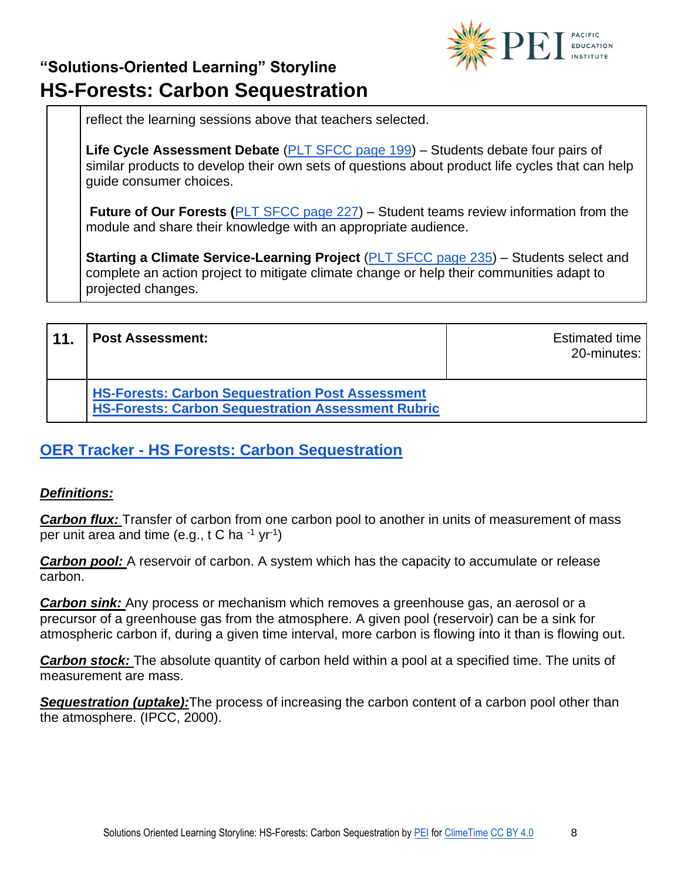

reflect the learning sessions above that teachers selected.

**Life Cycle Assessment Debate** [\(PLT SFCC page 199\)](https://drive.google.com/open?id=0B7PBNb3wlZr8bjBsU05DbmE4WW9KRlVPNk53bU0wWDdsQmZv) – Students debate four pairs of similar products to develop their own sets of questions about product life cycles that can help guide consumer choices.

**Future of Our Forests ([PLT SFCC page 227\)](https://drive.google.com/open?id=0B7PBNb3wlZr8bjBsU05DbmE4WW9KRlVPNk53bU0wWDdsQmZv)** – Student teams review information from the module and share their knowledge with an appropriate audience.

**Starting a Climate Service-Learning Project** [\(PLT SFCC page 235\)](https://drive.google.com/open?id=0B7PBNb3wlZr8bjBsU05DbmE4WW9KRlVPNk53bU0wWDdsQmZv) – Students select and complete an action project to mitigate climate change or help their communities adapt to projected changes.

| 11 | <b>Post Assessment:</b>                                                                                              | Estimated time<br>20-minutes: |
|----|----------------------------------------------------------------------------------------------------------------------|-------------------------------|
|    | <b>HS-Forests: Carbon Sequestration Post Assessment</b><br><b>HS-Forests: Carbon Sequestration Assessment Rubric</b> |                               |

#### **OER Tracker - [HS Forests: Carbon Sequestration](https://pacificeductioninstitute.sharepoint.com/:x:/s/Program/EQvDa6CiOctJi8w6XCo1en0BnV4v8CGcAePm-kKcr3MZ3g?e=ScWYFm)**

#### *Definitions:*

*Carbon flux:* Transfer of carbon from one carbon pool to another in units of measurement of mass per unit area and time (e.g., t C ha <sup>-1</sup> yr<sup>-1</sup>)

**Carbon pool:** A reservoir of carbon. A system which has the capacity to accumulate or release carbon.

*Carbon sink:* Any process or mechanism which removes a greenhouse gas, an aerosol or a precursor of a greenhouse gas from the atmosphere. A given pool (reservoir) can be a sink for atmospheric carbon if, during a given time interval, more carbon is flowing into it than is flowing out.

*Carbon stock:* The absolute quantity of carbon held within a pool at a specified time. The units of measurement are mass.

**Sequestration (uptake):**The process of increasing the carbon content of a carbon pool other than the atmosphere. (IPCC, 2000).